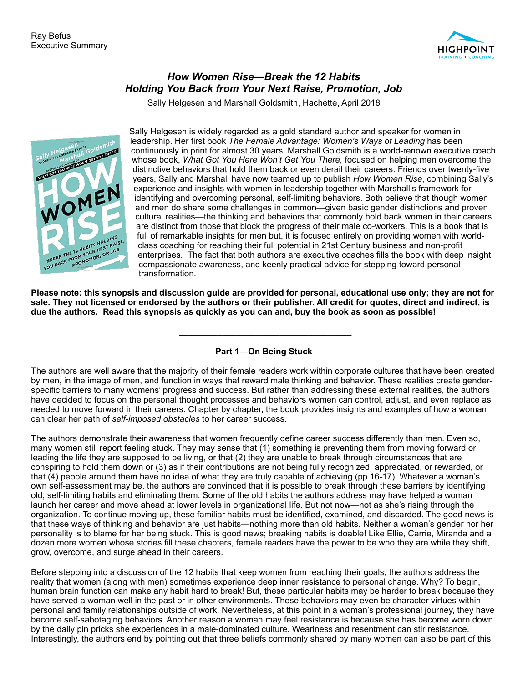

## *How Women Rise—Break the 12 Habits Holding You Back from Your Next Raise, Promotion, Job*

Sally Helgesen and Marshall Goldsmith, Hachette, April 2018



Sally Helgesen is widely regarded as a gold standard author and speaker for women in leadership. Her first book *The Female Advantage: Women's Ways of Leading* has been continuously in print for almost 30 years. Marshall Goldsmith is a world-renown executive coach whose book, *What Got You Here Won't Get You There,* focused on helping men overcome the distinctive behaviors that hold them back or even derail their careers. Friends over twenty-five years, Sally and Marshall have now teamed up to publish *How Women Rise*, combining Sally's experience and insights with women in leadership together with Marshall's framework for identifying and overcoming personal, self-limiting behaviors. Both believe that though women and men do share some challenges in common—given basic gender distinctions and proven cultural realities—the thinking and behaviors that commonly hold back women in their careers are distinct from those that block the progress of their male co-workers. This is a book that is full of remarkable insights for men but, it is focused entirely on providing women with worldclass coaching for reaching their full potential in 21st Century business and non-profit enterprises. The fact that both authors are executive coaches fills the book with deep insight, compassionate awareness, and keenly practical advice for stepping toward personal transformation.

**Please note: this synopsis and discussion guide are provided for personal, educational use only; they are not for sale. They not licensed or endorsed by the authors or their publisher. All credit for quotes, direct and indirect, is due the authors. Read this synopsis as quickly as you can and, buy the book as soon as possible!** 

**Part 1—On Being Stuck** 

 **\_\_\_\_\_\_\_\_\_\_\_\_\_\_\_\_\_\_\_\_\_\_\_\_\_\_\_\_\_\_\_\_\_\_\_\_** 

The authors are well aware that the majority of their female readers work within corporate cultures that have been created by men, in the image of men, and function in ways that reward male thinking and behavior. These realities create genderspecific barriers to many womens' progress and success. But rather than addressing these external realities, the authors have decided to focus on the personal thought processes and behaviors women can control, adjust, and even replace as needed to move forward in their careers. Chapter by chapter, the book provides insights and examples of how a woman can clear her path of *self-imposed obstacles* to her career success.

The authors demonstrate their awareness that women frequently define career success differently than men. Even so, many women still report feeling stuck. They may sense that (1) something is preventing them from moving forward or leading the life they are supposed to be living, or that (2) they are unable to break through circumstances that are conspiring to hold them down or (3) as if their contributions are not being fully recognized, appreciated, or rewarded, or that (4) people around them have no idea of what they are truly capable of achieving (pp.16-17). Whatever a woman's own self-assessment may be, the authors are convinced that it is possible to break through these barriers by identifying old, self-limiting habits and eliminating them. Some of the old habits the authors address may have helped a woman launch her career and move ahead at lower levels in organizational life. But not now—not as she's rising through the organization. To continue moving up, these familiar habits must be identified, examined, and discarded. The good news is that these ways of thinking and behavior are just habits—nothing more than old habits. Neither a woman's gender nor her personality is to blame for her being stuck. This is good news; breaking habits is doable! Like Ellie, Carrie, Miranda and a dozen more women whose stories fill these chapters, female readers have the power to be who they are while they shift, grow, overcome, and surge ahead in their careers.

Before stepping into a discussion of the 12 habits that keep women from reaching their goals, the authors address the reality that women (along with men) sometimes experience deep inner resistance to personal change. Why? To begin, human brain function can make any habit hard to break! But, these particular habits may be harder to break because they have served a woman well in the past or in other environments. These behaviors may even be character virtues within personal and family relationships outside of work. Nevertheless, at this point in a woman's professional journey, they have become self-sabotaging behaviors. Another reason a woman may feel resistance is because she has become worn down by the daily pin pricks she experiences in a male-dominated culture. Weariness and resentment can stir resistance. Interestingly, the authors end by pointing out that three beliefs commonly shared by many women can also be part of this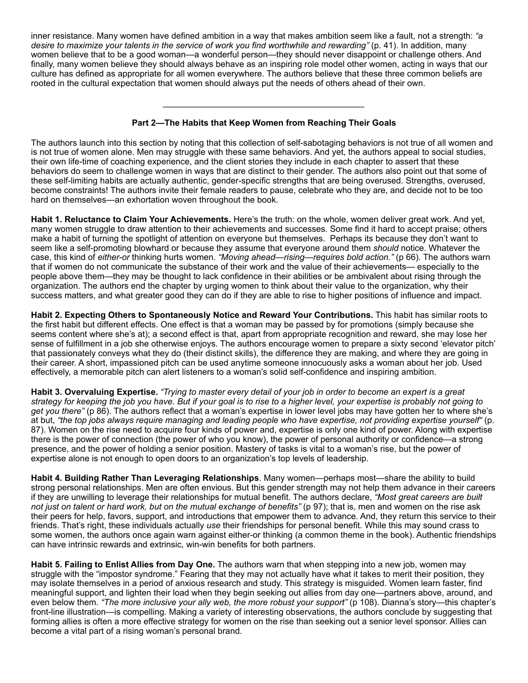inner resistance. Many women have defined ambition in a way that makes ambition seem like a fault, not a strength: *"a desire to maximize your talents in the service of work you find worthwhile and rewarding"* (p. 41). In addition, many women believe that to be a good woman—a wonderful person—they should never disappoint or challenge others. And finally, many women believe they should always behave as an inspiring role model other women, acting in ways that our culture has defined as appropriate for all women everywhere. The authors believe that these three common beliefs are rooted in the cultural expectation that women should always put the needs of others ahead of their own.

## **Part 2—The Habits that Keep Women from Reaching Their Goals**

\_\_\_\_\_\_\_\_\_\_\_\_\_\_\_\_\_\_\_\_\_\_\_\_\_\_\_\_\_\_\_\_\_\_\_\_\_\_\_\_\_\_

The authors launch into this section by noting that this collection of self-sabotaging behaviors is not true of all women and is not true of women alone. Men may struggle with these same behaviors. And yet, the authors appeal to social studies, their own life-time of coaching experience, and the client stories they include in each chapter to assert that these behaviors do seem to challenge women in ways that are distinct to their gender. The authors also point out that some of these self-limiting habits are actually authentic, gender-specific strengths that are being overused. Strengths, overused, become constraints! The authors invite their female readers to pause, celebrate who they are, and decide not to be too hard on themselves—an exhortation woven throughout the book.

**Habit 1. Reluctance to Claim Your Achievements.** Here's the truth: on the whole, women deliver great work. And yet, many women struggle to draw attention to their achievements and successes. Some find it hard to accept praise; others make a habit of turning the spotlight of attention on everyone but themselves. Perhaps its because they don't want to seem like a self-promoting blowhard or because they assume that everyone around them *should* notice. Whatever the case, this kind of *either-or* thinking hurts women. *"Moving ahead—rising—requires bold action."* (p 66). The authors warn that if women do not communicate the substance of their work and the value of their achievements— especially to the people above them—they may be thought to lack confidence in their abilities or be ambivalent about rising through the organization. The authors end the chapter by urging women to think about their value to the organization, why their success matters, and what greater good they can do if they are able to rise to higher positions of influence and impact.

**Habit 2. Expecting Others to Spontaneously Notice and Reward Your Contributions.** This habit has similar roots to the first habit but different effects. One effect is that a woman may be passed by for promotions (simply because she seems content where she's at); a second effect is that, apart from appropriate recognition and reward, she may lose her sense of fulfillment in a job she otherwise enjoys. The authors encourage women to prepare a sixty second 'elevator pitch' that passionately conveys what they do (their distinct skills), the difference they are making, and where they are going in their career. A short, impassioned pitch can be used anytime someone innocuously asks a woman about her job. Used effectively, a memorable pitch can alert listeners to a woman's solid self-confidence and inspiring ambition.

**Habit 3. Overvaluing Expertise.** *"Trying to master every detail of your job in order to become an expert is a great strategy for keeping the job you have. But if your goal is to rise to a higher level, your expertise is probably not going to get you there"* (p 86). The authors reflect that a woman's expertise in lower level jobs may have gotten her to where she's at but, *"the top jobs always require managing and leading people who have expertise, not providing expertise yourself"* (p. 87). Women on the rise need to acquire four kinds of power and, expertise is only one kind of power. Along with expertise there is the power of connection (the power of who you know), the power of personal authority or confidence—a strong presence, and the power of holding a senior position. Mastery of tasks is vital to a woman's rise, but the power of expertise alone is not enough to open doors to an organization's top levels of leadership.

**Habit 4. Building Rather Than Leveraging Relationships**. Many women—perhaps most—share the ability to build strong personal relationships. Men are often envious. But this gender strength may not help them advance in their careers if they are unwilling to leverage their relationships for mutual benefit. The authors declare, *"Most great careers are built not just on talent or hard work, but on the mutual exchange of benefits"* (p 97); that is, men and women on the rise ask their peers for help, favors, support, and introductions that empower them to advance. And, they return this service to their friends. That's right, these individuals actually *use* their friendships for personal benefit. While this may sound crass to some women, the authors once again warn against either-or thinking (a common theme in the book). Authentic friendships can have intrinsic rewards and extrinsic, win-win benefits for both partners.

**Habit 5. Failing to Enlist Allies from Day One.** The authors warn that when stepping into a new job, women may struggle with the "impostor syndrome." Fearing that they may not actually have what it takes to merit their position, they may isolate themselves in a period of anxious research and study. This strategy is misguided. Women learn faster, find meaningful support, and lighten their load when they begin seeking out allies from day one—partners above, around, and even below them. "The more inclusive your ally web, the more robust your support" (p 108). Dianna's story—this chapter's front-line illustration—is compelling. Making a variety of interesting observations, the authors conclude by suggesting that forming allies is often a more effective strategy for women on the rise than seeking out a senior level sponsor. Allies can become a vital part of a rising woman's personal brand.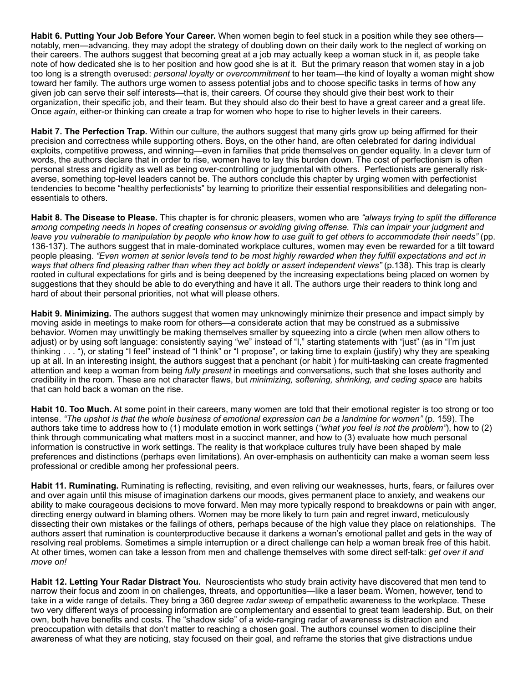**Habit 6. Putting Your Job Before Your Career.** When women begin to feel stuck in a position while they see others notably, men—advancing, they may adopt the strategy of doubling down on their daily work to the neglect of working on their careers. The authors suggest that becoming great at a job may actually keep a woman stuck in it, as people take note of how dedicated she is to her position and how good she is at it. But the primary reason that women stay in a job too long is a strength overused: *personal loyalty* or *overcommitment* to her team—the kind of loyalty a woman might show toward her family. The authors urge women to assess potential jobs and to choose specific tasks in terms of how any given job can serve their self interests—that is, their careers. Of course they should give their best work to their organization, their specific job, and their team. But they should also do their best to have a great career and a great life. Once *again*, either-or thinking can create a trap for women who hope to rise to higher levels in their careers.

**Habit 7. The Perfection Trap.** Within our culture, the authors suggest that many girls grow up being affirmed for their precision and correctness while supporting others. Boys, on the other hand, are often celebrated for daring individual exploits, competitive prowess, and winning—even in families that pride themselves on gender equality. In a clever turn of words, the authors declare that in order to rise, women have to lay this burden down. The cost of perfectionism is often personal stress and rigidity as well as being over-controlling or judgmental with others. Perfectionists are generally riskaverse, something top-level leaders cannot be. The authors conclude this chapter by urging women with perfectionist tendencies to become "healthy perfectionists" by learning to prioritize their essential responsibilities and delegating nonessentials to others.

**Habit 8. The Disease to Please.** This chapter is for chronic pleasers, women who are *"always trying to split the difference among competing needs in hopes of creating consensus or avoiding giving offense. This can impair your judgment and leave you vulnerable to manipulation by people who know how to use guilt to get others to accommodate their needs"* (pp. 136-137). The authors suggest that in male-dominated workplace cultures, women may even be rewarded for a tilt toward people pleasing. *"Even women at senior levels tend to be most highly rewarded when they fulfill expectations and act in ways that others find pleasing rather than when they act boldly or assert independent views"* (p.138). This trap is clearly rooted in cultural expectations for girls and is being deepened by the increasing expectations being placed on women by suggestions that they should be able to do everything and have it all. The authors urge their readers to think long and hard of about their personal priorities, not what will please others.

**Habit 9. Minimizing.** The authors suggest that women may unknowingly minimize their presence and impact simply by moving aside in meetings to make room for others—a considerate action that may be construed as a submissive behavior. Women may unwittingly be making themselves smaller by squeezing into a circle (when men allow others to adjust) or by using soft language: consistently saying "we" instead of "I," starting statements with "just" (as in "I'm just thinking . . . "), or stating "I feel" instead of "I think" or "I propose", or taking time to explain (justify) why they are speaking up at all. In an interesting insight, the authors suggest that a penchant (or habit ) for multi-tasking can create fragmented attention and keep a woman from being *fully present* in meetings and conversations, such that she loses authority and credibility in the room. These are not character flaws, but *minimizing, softening, shrinking, and ceding space* are habits that can hold back a woman on the rise.

**Habit 10. Too Much.** At some point in their careers, many women are told that their emotional register is too strong or too intense. *"The upshot is that the whole business of emotional expression can be a landmine for women"* (p. 159). The authors take time to address how to (1) modulate emotion in work settings (*"what you feel is not the problem"*), how to (2) think through communicating what matters most in a succinct manner, and how to (3) evaluate how much personal information is constructive in work settings. The reality is that workplace cultures truly have been shaped by male preferences and distinctions (perhaps even limitations). An over-emphasis on authenticity can make a woman seem less professional or credible among her professional peers.

**Habit 11. Ruminating.** Ruminating is reflecting, revisiting, and even reliving our weaknesses, hurts, fears, or failures over and over again until this misuse of imagination darkens our moods, gives permanent place to anxiety, and weakens our ability to make courageous decisions to move forward. Men may more typically respond to breakdowns or pain with anger, directing energy outward in blaming others. Women may be more likely to turn pain and regret inward, meticulously dissecting their own mistakes or the failings of others*,* perhaps because of the high value they place on relationships. The authors assert that rumination is counterproductive because it darkens a woman's emotional pallet and gets in the way of resolving real problems. Sometimes a simple interruption or a direct challenge can help a woman break free of this habit. At other times, women can take a lesson from men and challenge themselves with some direct self-talk: *get over it and move on!*

**Habit 12. Letting Your Radar Distract You.** Neuroscientists who study brain activity have discovered that men tend to narrow their focus and zoom in on challenges, threats, and opportunities—like a laser beam. Women, however, tend to take in a wide range of details. They bring a 360 degree *radar sweep* of empathetic awareness to the workplace. These two very different ways of processing information are complementary and essential to great team leadership. But, on their own, both have benefits and costs. The "shadow side" of a wide-ranging radar of awareness is distraction and preoccupation with details that don't matter to reaching a chosen goal. The authors counsel women to discipline their awareness of what they are noticing, stay focused on their goal, and reframe the stories that give distractions undue